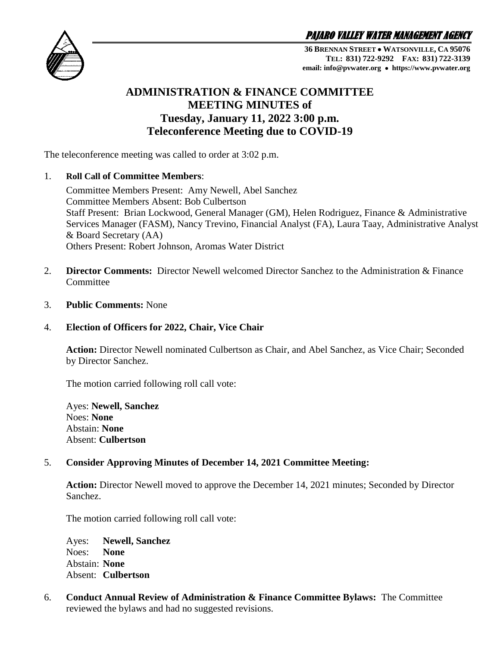PAJARO VALLEY WATER MANAGEMENT AGENCY



**36 BRENNAN STREET WATSONVILLE, CA 95076 TEL: 831) 722-9292 FAX: 831) 722-3139 email: info@pvwater.org https://www.pvwater.org**

# **ADMINISTRATION & FINANCE COMMITTEE MEETING MINUTES of Tuesday, January 11, 2022 3:00 p.m. Teleconference Meeting due to COVID-19**

The teleconference meeting was called to order at 3:02 p.m.

## 1. **Roll Call of Committee Members**:

Committee Members Present: Amy Newell, Abel Sanchez Committee Members Absent: Bob Culbertson Staff Present: Brian Lockwood, General Manager (GM), Helen Rodriguez, Finance & Administrative Services Manager (FASM), Nancy Trevino, Financial Analyst (FA), Laura Taay, Administrative Analyst & Board Secretary (AA) Others Present: Robert Johnson, Aromas Water District

- 2. **Director Comments:** Director Newell welcomed Director Sanchez to the Administration & Finance **Committee**
- 3. **Public Comments:** None

# 4. **Election of Officers for 2022, Chair, Vice Chair**

**Action:** Director Newell nominated Culbertson as Chair, and Abel Sanchez, as Vice Chair; Seconded by Director Sanchez.

The motion carried following roll call vote:

Ayes: **Newell, Sanchez** Noes: **None** Abstain: **None** Absent: **Culbertson**

# 5. **Consider Approving Minutes of December 14, 2021 Committee Meeting:**

**Action:** Director Newell moved to approve the December 14, 2021 minutes; Seconded by Director Sanchez.

The motion carried following roll call vote:

Ayes: **Newell, Sanchez** Noes: **None** Abstain: **None** Absent: **Culbertson**

6. **Conduct Annual Review of Administration & Finance Committee Bylaws:** The Committee reviewed the bylaws and had no suggested revisions.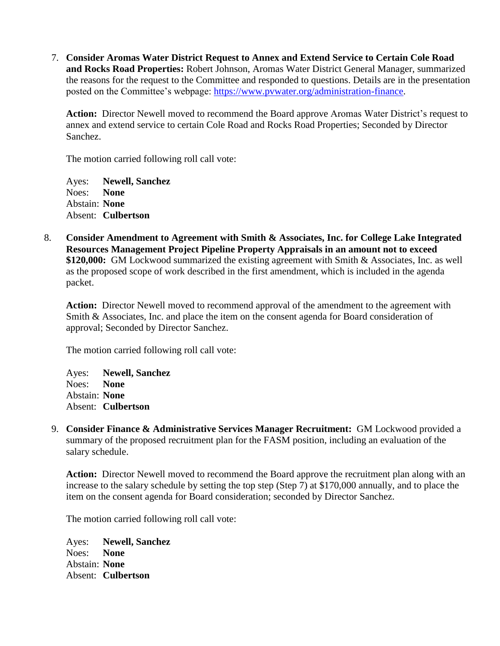7. **Consider Aromas Water District Request to Annex and Extend Service to Certain Cole Road and Rocks Road Properties:** Robert Johnson, Aromas Water District General Manager, summarized the reasons for the request to the Committee and responded to questions. Details are in the presentation posted on the Committee's webpage: [https://www.pvwater.org/administration-finance.](https://www.pvwater.org/administration-finance)

**Action:** Director Newell moved to recommend the Board approve Aromas Water District's request to annex and extend service to certain Cole Road and Rocks Road Properties; Seconded by Director Sanchez.

The motion carried following roll call vote:

Ayes: **Newell, Sanchez** Noes: **None** Abstain: **None** Absent: **Culbertson**

8. **Consider Amendment to Agreement with Smith & Associates, Inc. for College Lake Integrated Resources Management Project Pipeline Property Appraisals in an amount not to exceed \$120,000:** GM Lockwood summarized the existing agreement with Smith & Associates, Inc. as well as the proposed scope of work described in the first amendment, which is included in the agenda packet.

**Action:** Director Newell moved to recommend approval of the amendment to the agreement with Smith & Associates, Inc. and place the item on the consent agenda for Board consideration of approval; Seconded by Director Sanchez.

The motion carried following roll call vote:

Ayes: **Newell, Sanchez** Noes: **None** Abstain: **None** Absent: **Culbertson**

9. **Consider Finance & Administrative Services Manager Recruitment:** GM Lockwood provided a summary of the proposed recruitment plan for the FASM position, including an evaluation of the salary schedule.

**Action:** Director Newell moved to recommend the Board approve the recruitment plan along with an increase to the salary schedule by setting the top step (Step 7) at \$170,000 annually, and to place the item on the consent agenda for Board consideration; seconded by Director Sanchez.

The motion carried following roll call vote:

Ayes: **Newell, Sanchez** Noes: **None** Abstain: **None** Absent: **Culbertson**